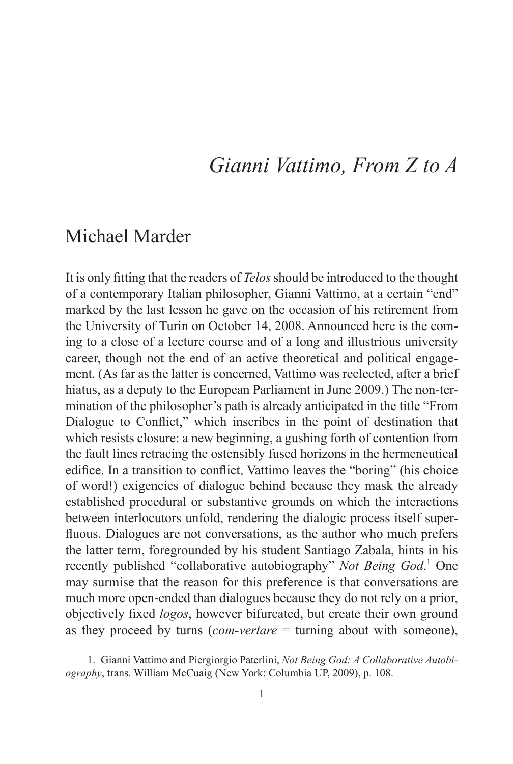## *Gianni Vattimo, From Z to A*

## Michael Marder

It is only fitting that the readers of *Telos* should be introduced to the thought of a contemporary Italian philosopher, Gianni Vattimo, at a certain "end" marked by the last lesson he gave on the occasion of his retirement from the University of Turin on October 14, 2008. Announced here is the coming to a close of a lecture course and of a long and illustrious university career, though not the end of an active theoretical and political engagement. (As far as the latter is concerned, Vattimo was reelected, after a brief hiatus, as a deputy to the European Parliament in June 2009.) The non-termination of the philosopher's path is already anticipated in the title "From Dialogue to Conflict," which inscribes in the point of destination that which resists closure: a new beginning, a gushing forth of contention from the fault lines retracing the ostensibly fused horizons in the hermeneutical edifice. In a transition to conflict, Vattimo leaves the "boring" (his choice of word!) exigencies of dialogue behind because they mask the already established procedural or substantive grounds on which the interactions between interlocutors unfold, rendering the dialogic process itself superfluous. Dialogues are not conversations, as the author who much prefers the latter term, foregrounded by his student Santiago Zabala, hints in his recently published "collaborative autobiography" *Not Being God*.<sup>1</sup> One may surmise that the reason for this preference is that conversations are much more open-ended than dialogues because they do not rely on a prior, objectively fixed *logos*, however bifurcated, but create their own ground as they proceed by turns (*com-vertare* = turning about with someone),

<sup>.</sup> Gianni Vattimo and Piergiorgio Paterlini, *Not Being God: A Collaborative Autobiography*, trans. William McCuaig (New York: Columbia UP, 2009), p. 108.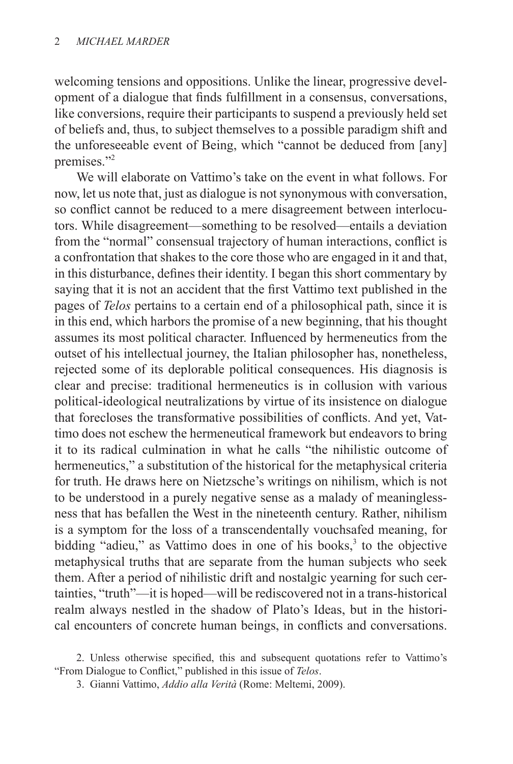welcoming tensions and oppositions. Unlike the linear, progressive development of a dialogue that finds fulfillment in a consensus, conversations, like conversions, require their participants to suspend a previously held set of beliefs and, thus, to subject themselves to a possible paradigm shift and the unforeseeable event of Being, which "cannot be deduced from [any] premises."<sup>2</sup>

We will elaborate on Vattimo's take on the event in what follows. For now, let us note that, just as dialogue is not synonymous with conversation, so conflict cannot be reduced to a mere disagreement between interlocutors. While disagreement—something to be resolved—entails a deviation from the "normal" consensual trajectory of human interactions, conflict is a confrontation that shakes to the core those who are engaged in it and that, in this disturbance, defines their identity. I began this short commentary by saying that it is not an accident that the first Vattimo text published in the pages of *Telos* pertains to a certain end of a philosophical path, since it is in this end, which harbors the promise of a new beginning, that his thought assumes its most political character. Influenced by hermeneutics from the outset of his intellectual journey, the Italian philosopher has, nonetheless, rejected some of its deplorable political consequences. His diagnosis is clear and precise: traditional hermeneutics is in collusion with various political-ideological neutralizations by virtue of its insistence on dialogue that forecloses the transformative possibilities of conflicts. And yet, Vattimo does not eschew the hermeneutical framework but endeavors to bring it to its radical culmination in what he calls "the nihilistic outcome of hermeneutics," a substitution of the historical for the metaphysical criteria for truth. He draws here on Nietzsche's writings on nihilism, which is not to be understood in a purely negative sense as a malady of meaninglessness that has befallen the West in the nineteenth century. Rather, nihilism is a symptom for the loss of a transcendentally vouchsafed meaning, for bidding "adieu," as Vattimo does in one of his books,<sup>3</sup> to the objective metaphysical truths that are separate from the human subjects who seek them. After a period of nihilistic drift and nostalgic yearning for such certainties, "truth"—it is hoped—will be rediscovered not in a trans-historical realm always nestled in the shadow of Plato's Ideas, but in the historical encounters of concrete human beings, in conflicts and conversations.

. Unless otherwise specified, this and subsequent quotations refer to Vattimo's "From Dialogue to Conflict," published in this issue of *Telos*.

. Gianni Vattimo, *Addio alla Verità* (Rome: Meltemi, 2009).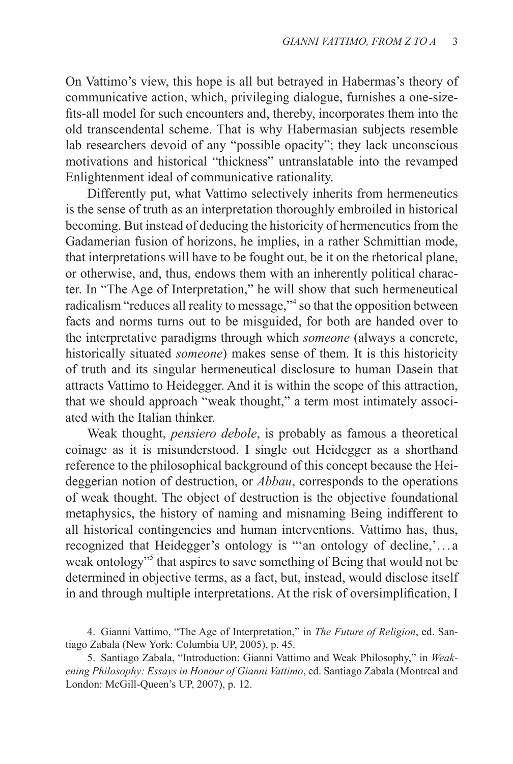On Vattimo's view, this hope is all but betrayed in Habermas's theory of communicative action, which, privileging dialogue, furnishes a one-sizefits-all model for such encounters and, thereby, incorporates them into the old transcendental scheme. That is why Habermasian subjects resemble lab researchers devoid of any "possible opacity"; they lack unconscious motivations and historical "thickness" untranslatable into the revamped Enlightenment ideal of communicative rationality.

Differently put, what Vattimo selectively inherits from hermeneutics is the sense of truth as an interpretation thoroughly embroiled in historical becoming. But instead of deducing the historicity of hermeneutics from the Gadamerian fusion of horizons, he implies, in a rather Schmittian mode, that interpretations will have to be fought out, be it on the rhetorical plane, or otherwise, and, thus, endows them with an inherently political character. In "The Age of Interpretation," he will show that such hermeneutical radicalism "reduces all reality to message,"<sup>4</sup> so that the opposition between facts and norms turns out to be misguided, for both are handed over to the interpretative paradigms through which *someone* (always a concrete, historically situated *someone*) makes sense of them. It is this historicity of truth and its singular hermeneutical disclosure to human Dasein that attracts Vattimo to Heidegger. And it is within the scope of this attraction, that we should approach "weak thought," a term most intimately associated with the Italian thinker.

Weak thought, *pensiero debole*, is probably as famous a theoretical coinage as it is misunderstood. I single out Heidegger as a shorthand reference to the philosophical background of this concept because the Heideggerian notion of destruction, or *Abbau*, corresponds to the operations of weak thought. The object of destruction is the objective foundational metaphysics, the history of naming and misnaming Being indifferent to all historical contingencies and human interventions. Vattimo has, thus, recognized that Heidegger's ontology is "'an ontology of decline,'. . . a weak ontology"<sup>5</sup> that aspires to save something of Being that would not be determined in objective terms, as a fact, but, instead, would disclose itself in and through multiple interpretations. At the risk of oversimplification, I

. Gianni Vattimo, "The Age of Interpretation," in *The Future of Religion*, ed. Santiago Zabala (New York: Columbia UP, 2005), p. 45.

. Santiago Zabala, "Introduction: Gianni Vattimo and Weak Philosophy," in *Weakening Philosophy: Essays in Honour of Gianni Vattimo*, ed. Santiago Zabala (Montreal and London: McGill-Queen's UP, 2007), p. 12.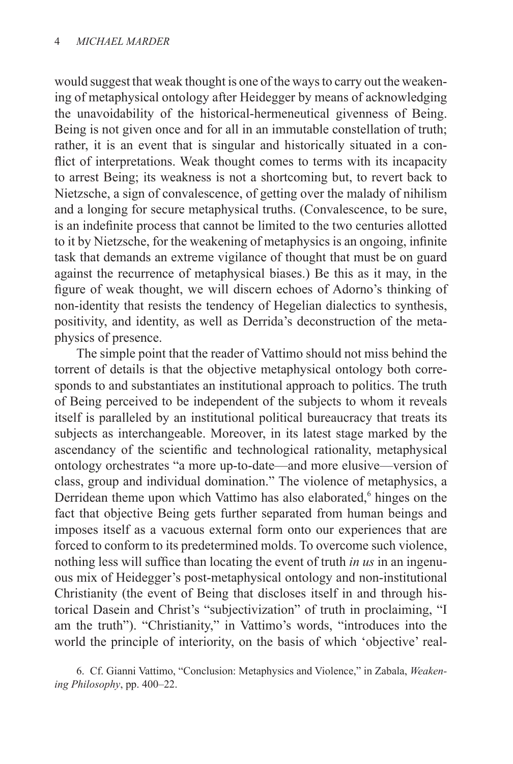would suggest that weak thought is one of the ways to carry out the weakening of metaphysical ontology after Heidegger by means of acknowledging the unavoidability of the historical-hermeneutical givenness of Being. Being is not given once and for all in an immutable constellation of truth; rather, it is an event that is singular and historically situated in a conflict of interpretations. Weak thought comes to terms with its incapacity to arrest Being; its weakness is not a shortcoming but, to revert back to Nietzsche, a sign of convalescence, of getting over the malady of nihilism and a longing for secure metaphysical truths. (Convalescence, to be sure, is an indefinite process that cannot be limited to the two centuries allotted to it by Nietzsche, for the weakening of metaphysics is an ongoing, infinite task that demands an extreme vigilance of thought that must be on guard against the recurrence of metaphysical biases.) Be this as it may, in the figure of weak thought, we will discern echoes of Adorno's thinking of non-identity that resists the tendency of Hegelian dialectics to synthesis, positivity, and identity, as well as Derrida's deconstruction of the metaphysics of presence.

The simple point that the reader of Vattimo should not miss behind the torrent of details is that the objective metaphysical ontology both corresponds to and substantiates an institutional approach to politics. The truth of Being perceived to be independent of the subjects to whom it reveals itself is paralleled by an institutional political bureaucracy that treats its subjects as interchangeable. Moreover, in its latest stage marked by the ascendancy of the scientific and technological rationality, metaphysical ontology orchestrates "a more up-to-date—and more elusive—version of class, group and individual domination." The violence of metaphysics, a Derridean theme upon which Vattimo has also elaborated, hinges on the fact that objective Being gets further separated from human beings and imposes itself as a vacuous external form onto our experiences that are forced to conform to its predetermined molds. To overcome such violence, nothing less will suffice than locating the event of truth *in us* in an ingenuous mix of Heidegger's post-metaphysical ontology and non-institutional Christianity (the event of Being that discloses itself in and through historical Dasein and Christ's "subjectivization" of truth in proclaiming, "I am the truth"). "Christianity," in Vattimo's words, "introduces into the world the principle of interiority, on the basis of which 'objective' real-

. Cf. Gianni Vattimo, "Conclusion: Metaphysics and Violence," in Zabala, *Weakening Philosophy*, pp. 400–22.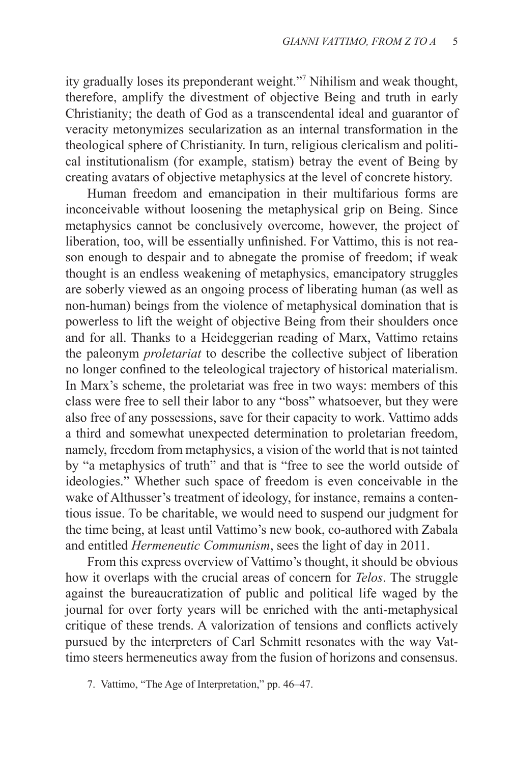ity gradually loses its preponderant weight." Nihilism and weak thought, therefore, amplify the divestment of objective Being and truth in early Christianity; the death of God as a transcendental ideal and guarantor of veracity metonymizes secularization as an internal transformation in the theological sphere of Christianity. In turn, religious clericalism and political institutionalism (for example, statism) betray the event of Being by creating avatars of objective metaphysics at the level of concrete history.

Human freedom and emancipation in their multifarious forms are inconceivable without loosening the metaphysical grip on Being. Since metaphysics cannot be conclusively overcome, however, the project of liberation, too, will be essentially unfinished. For Vattimo, this is not reason enough to despair and to abnegate the promise of freedom; if weak thought is an endless weakening of metaphysics, emancipatory struggles are soberly viewed as an ongoing process of liberating human (as well as non-human) beings from the violence of metaphysical domination that is powerless to lift the weight of objective Being from their shoulders once and for all. Thanks to a Heideggerian reading of Marx, Vattimo retains the paleonym *proletariat* to describe the collective subject of liberation no longer confined to the teleological trajectory of historical materialism. In Marx's scheme, the proletariat was free in two ways: members of this class were free to sell their labor to any "boss" whatsoever, but they were also free of any possessions, save for their capacity to work. Vattimo adds a third and somewhat unexpected determination to proletarian freedom, namely, freedom from metaphysics, a vision of the world that is not tainted by "a metaphysics of truth" and that is "free to see the world outside of ideologies." Whether such space of freedom is even conceivable in the wake of Althusser's treatment of ideology, for instance, remains a contentious issue. To be charitable, we would need to suspend our judgment for the time being, at least until Vattimo's new book, co-authored with Zabala and entitled *Hermeneutic Communism*, sees the light of day in 2011.

From this express overview of Vattimo's thought, it should be obvious how it overlaps with the crucial areas of concern for *Telos*. The struggle against the bureaucratization of public and political life waged by the journal for over forty years will be enriched with the anti-metaphysical critique of these trends. A valorization of tensions and conflicts actively pursued by the interpreters of Carl Schmitt resonates with the way Vattimo steers hermeneutics away from the fusion of horizons and consensus.

. Vattimo, "The Age of Interpretation," pp. 46–47.